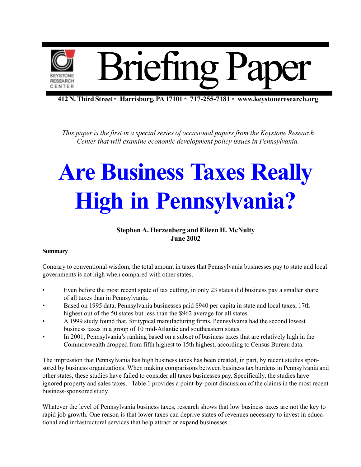

**412 N. Third Street** \* **Harrisburg, PA 17101** \* **717-255-7181** \* **www.keystoneresearch.org**

*This paper is the first in a special series of occasional papers from the Keystone Research Center that will examine economic development policy issues in Pennsylvania.*

# **Are Business Taxes Really High in Pennsylvania?**

### **Stephen A. Herzenberg and Eileen H. McNulty June 2002**

### **Summary**

Contrary to conventional wisdom, the total amount in taxes that Pennsylvania businesses pay to state and local governments is not high when compared with other states.

- Even before the most recent spate of tax cutting, in only 23 states did business pay a smaller share of all taxes than in Pennsylvania.
- Based on 1995 data, Pennsylvania businesses paid \$940 per capita in state and local taxes, 17th highest out of the 50 states but less than the \$962 average for all states.
- A 1999 study found that, for typical manufacturing firms, Pennsylvania had the second lowest business taxes in a group of 10 mid-Atlantic and southeastern states.
- In 2001, Pennsylvania's ranking based on a subset of business taxes that are relatively high in the Commonwealth dropped from fifth highest to 15th highest, according to Census Bureau data.

The impression that Pennsylvania has high business taxes has been created, in part, by recent studies sponsored by business organizations. When making comparisons between business tax burdens in Pennsylvania and other states, these studies have failed to consider all taxes businesses pay. Specifically, the studies have ignored property and sales taxes. Table 1 provides a point-by-point discussion of the claims in the most recent business-sponsored study.

Whatever the level of Pennsylvania business taxes, research shows that low business taxes are not the key to rapid job growth. One reason is that lower taxes can deprive states of revenues necessary to invest in educational and infrastructural services that help attract or expand businesses.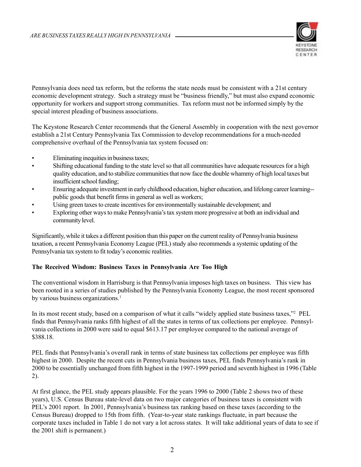

Pennsylvania does need tax reform, but the reforms the state needs must be consistent with a 21st century economic development strategy. Such a strategy must be "business friendly," but must also expand economic opportunity for workers and support strong communities. Tax reform must not be informed simply by the special interest pleading of business associations.

The Keystone Research Center recommends that the General Assembly in cooperation with the next governor establish a 21st Century Pennsylvania Tax Commission to develop recommendations for a much-needed comprehensive overhaul of the Pennsylvania tax system focused on:

- Eliminating inequities in business taxes;
- Shifting educational funding to the state level so that all communities have adequate resources for a high quality education, and to stabilize communities that now face the double whammy of high local taxes but insufficient school funding;
- Ensuring adequate investment in early childhood education, higher education, and lifelong career learning- public goods that benefit firms in general as well as workers;
- Using green taxes to create incentives for environmentally sustainable development; and
- Exploring other ways to make Pennsylvania's tax system more progressive at both an individual and community level.

Significantly, while it takes a different position than this paper on the current reality of Pennsylvania business taxation, a recent Pennsylvania Economy League (PEL) study also recommends a systemic updating of the Pennsylvania tax system to fit today's economic realities.

### **The Received Wisdom: Business Taxes in Pennsylvania Are Too High**

The conventional wisdom in Harrisburg is that Pennsylvania imposes high taxes on business. This view has been rooted in a series of studies published by the Pennsylvania Economy League, the most recent sponsored by various business organizations.<sup>1</sup>

In its most recent study, based on a comparison of what it calls "widely applied state business taxes,"2 PEL finds that Pennsylvania ranks fifth highest of all the states in terms of tax collections per employee. Pennsylvania collections in 2000 were said to equal \$613.17 per employee compared to the national average of \$388.18.

PEL finds that Pennsylvania's overall rank in terms of state business tax collections per employee was fifth highest in 2000. Despite the recent cuts in Pennsylvania business taxes, PEL finds Pennsylvania's rank in 2000 to be essentially unchanged from fifth highest in the 1997-1999 period and seventh highest in 1996 (Table 2).

At first glance, the PEL study appears plausible. For the years 1996 to 2000 (Table 2 shows two of these years), U.S. Census Bureau state-level data on two major categories of business taxes is consistent with PEL's 2001 report. In 2001, Pennsylvania's business tax ranking based on these taxes (according to the Census Bureau) dropped to 15th from fifth. (Year-to-year state rankings fluctuate, in part because the corporate taxes included in Table 1 do not vary a lot across states. It will take additional years of data to see if the 2001 shift is permanent.)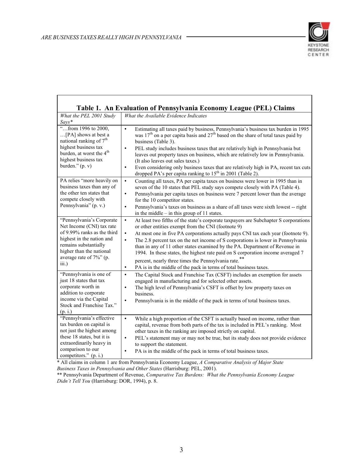

| Table 1. An Evaluation of Pennsylvania Economy League (PEL) Claims                                                                                                                                                             |                                                                                                                                                                                                                                                                                                                                                                                                                                                                                                                                                                                                                                                                        |  |  |  |  |
|--------------------------------------------------------------------------------------------------------------------------------------------------------------------------------------------------------------------------------|------------------------------------------------------------------------------------------------------------------------------------------------------------------------------------------------------------------------------------------------------------------------------------------------------------------------------------------------------------------------------------------------------------------------------------------------------------------------------------------------------------------------------------------------------------------------------------------------------------------------------------------------------------------------|--|--|--|--|
| What the PEL 2001 Study<br>$Says*$                                                                                                                                                                                             | What the Available Evidence Indicates                                                                                                                                                                                                                                                                                                                                                                                                                                                                                                                                                                                                                                  |  |  |  |  |
| "from 1996 to 2000,<br>[PA] shows at best a<br>national ranking of 7 <sup>th</sup><br>highest business tax<br>burden, at worst the 4 <sup>th</sup><br>highest business tax<br>burden." $(p, v)$                                | Estimating all taxes paid by business, Pennsylvania's business tax burden in 1995<br>$\bullet$<br>was 17 <sup>th</sup> on a per capita basis and 27 <sup>th</sup> based on the share of total taxes paid by<br>business (Table 3).<br>PEL study includes business taxes that are relatively high in Pennsylvania but<br>$\bullet$<br>leaves out property taxes on business, which are relatively low in Pennsylvania.<br>(It also leaves out sales taxes.)<br>Even considering only business taxes that are relatively high in PA, recent tax cuts<br>$\bullet$<br>dropped PA's per capita ranking to 15 <sup>th</sup> in 2001 (Table 2).                              |  |  |  |  |
| PA relies "more heavily on<br>business taxes than any of<br>the other ten states that<br>compete closely with<br>Pennsylvania" (p. v.)                                                                                         | Counting all taxes, PA per capita taxes on business were lower in 1995 than in<br>$\bullet$<br>seven of the 10 states that PEL study says compete closely with PA (Table 4).<br>Pennsylvania per capita taxes on business were 7 percent lower than the average<br>$\bullet$<br>for the 10 competitor states.<br>Pennsylvania's taxes on business as a share of all taxes were sixth lowest -- right<br>٠<br>in the middle $-$ in this group of 11 states.                                                                                                                                                                                                             |  |  |  |  |
| "Pennsylvania's Corporate<br>Net Income (CNI) tax rate<br>of 9.99% ranks as the third<br>highest in the nation and<br>remains substantially<br>higher than the national<br>average rate of 7%" (p.<br>$\overline{\text{iii.}}$ | $\bullet$<br>At least two fifths of the state's corporate taxpayers are Subchapter S corporations<br>or other entities exempt from the CNI (footnote 9)<br>$\bullet$<br>At most one in five PA corporations actually pays CNI tax each year (footnote 9).<br>The 2.8 percent tax on the net income of S corporations is lower in Pennsylvania<br>$\bullet$<br>than in any of 11 other states examined by the PA. Department of Revenue in<br>1994. In these states, the highest rate paid on S corporation income averaged 7<br>percent, nearly three times the Pennsylvania rate.**<br>PA is in the middle of the pack in terms of total business taxes.<br>$\bullet$ |  |  |  |  |
| "Pennsylvania is one of<br>just 18 states that tax<br>corporate worth in<br>addition to corporate<br>income via the Capital<br>Stock and Franchise Tax."<br>(p. i.)                                                            | The Capital Stock and Franchise Tax (CSFT) includes an exemption for assets<br>$\bullet$<br>engaged in manufacturing and for selected other assets.<br>The high level of Pennsylvania's CSFT is offset by low property taxes on<br>business.<br>Pennsylvania is in the middle of the pack in terms of total business taxes.<br>$\bullet$                                                                                                                                                                                                                                                                                                                               |  |  |  |  |
| "Pennsylvania's effective<br>tax burden on capital is<br>not just the highest among<br>these 18 states, but it is<br>extraordinarily heavy in<br>comparison to our<br>competitors." (p. i.)                                    | $\bullet$<br>While a high proportion of the CSFT is actually based on income, rather than<br>capital, revenue from both parts of the tax is included in PEL's ranking. Most<br>other taxes in the ranking are imposed strictly on capital.<br>PEL's statement may or may not be true, but its study does not provide evidence<br>$\bullet$<br>to support the statement.<br>PA is in the middle of the pack in terms of total business taxes.<br>$\bullet$                                                                                                                                                                                                              |  |  |  |  |

\* All claims in column 1 are from Pennsylvania Economy League, *A Comparative Analysis of Major State Business Taxes in Pennsylvania and Other States* (Harrisburg: PEL, 2001).

\*\* Pennsylvania Department of Revenue, *Comparative Tax Burdens: What the Pennsylvania Economy League Didn't Tell You* (Harrisburg: DOR, 1994), p. 8.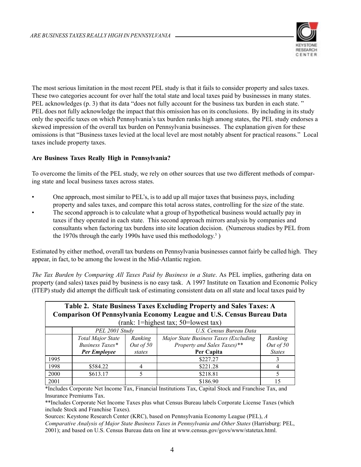

The most serious limitation in the most recent PEL study is that it fails to consider property and sales taxes. These two categories account for over half the total state and local taxes paid by businesses in many states. PEL acknowledges (p. 3) that its data "does not fully account for the business tax burden in each state. " PEL does not fully acknowledge the impact that this omission has on its conclusions. By including in its study only the specific taxes on which Pennsylvania's tax burden ranks high among states, the PEL study endorses a skewed impression of the overall tax burden on Pennsylvania businesses. The explanation given for these omissions is that "Business taxes levied at the local level are most notably absent for practical reasons." Local taxes include property taxes.

### **Are Business Taxes Really High in Pennsylvania?**

To overcome the limits of the PEL study, we rely on other sources that use two different methods of comparing state and local business taxes across states.

- One approach, most similar to PEL's, is to add up all major taxes that business pays, including property and sales taxes, and compare this total across states, controlling for the size of the state.
- The second approach is to calculate what a group of hypothetical business would actually pay in taxes if they operated in each state. This second approach mirrors analysis by companies and consultants when factoring tax burdens into site location decision. (Numerous studies by PEL from the 1970s through the early 1990s have used this methodology.3 )

Estimated by either method, overall tax burdens on Pennsylvania businesses cannot fairly be called high. They appear, in fact, to be among the lowest in the Mid-Atlantic region.

*The Tax Burden by Comparing All Taxes Paid by Business in a State*. As PEL implies, gathering data on property (and sales) taxes paid by business is no easy task. A 1997 Institute on Taxation and Economic Policy (ITEP) study did attempt the difficult task of estimating consistent data on all state and local taxes paid by

| Table 2. State Business Taxes Excluding Property and Sales Taxes: A<br><b>Comparison Of Pennsylvania Economy League and U.S. Census Bureau Data</b> |                          |           |                                       |               |  |  |  |
|-----------------------------------------------------------------------------------------------------------------------------------------------------|--------------------------|-----------|---------------------------------------|---------------|--|--|--|
| (rank: 1=highest tax; $50$ =lowest tax)                                                                                                             |                          |           |                                       |               |  |  |  |
|                                                                                                                                                     | PEL 2001 Study           |           | U.S. Census Bureau Data               |               |  |  |  |
|                                                                                                                                                     | <b>Total Major State</b> | Ranking   | Major State Business Taxes (Excluding | Ranking       |  |  |  |
|                                                                                                                                                     | Business Taxes*          | Out of 50 | Property and Sales Taxes)**           | Out of 50     |  |  |  |
|                                                                                                                                                     | Per Employee<br>states   |           | Per Capita                            | <b>States</b> |  |  |  |
| 1995                                                                                                                                                |                          |           | \$227.27                              |               |  |  |  |
| 1998                                                                                                                                                | \$584.22                 | 4         | \$221.28                              |               |  |  |  |
| 2000                                                                                                                                                | \$613.17                 | 5         | \$218.81                              | 5             |  |  |  |
| 2001                                                                                                                                                |                          |           | \$186.90                              | 15            |  |  |  |

\*Includes Corporate Net Income Tax, Financial Institutions Tax, Capital Stock and Franchise Tax, and Insurance Premiums Tax.

\*\*Includes Corporate Net Income Taxes plus what Census Bureau labels Corporate License Taxes (which include Stock and Franchise Taxes).

Sources: Keystone Research Center (KRC), based on Pennsylvania Economy League (PEL), *A Comparative Analysis of Major State Business Taxes in Pennsylvania and Other States* (Harrisburg: PEL, 2001); and based on U.S. Census Bureau data on line at www.census.gov/govs/www/statetax.html.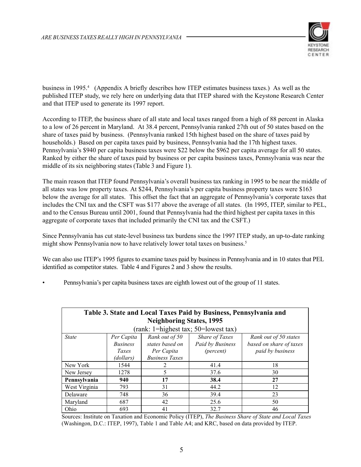

business in 1995.<sup>4</sup> (Appendix A briefly describes how ITEP estimates business taxes.) As well as the published ITEP study, we rely here on underlying data that ITEP shared with the Keystone Research Center and that ITEP used to generate its 1997 report.

According to ITEP, the business share of all state and local taxes ranged from a high of 88 percent in Alaska to a low of 26 percent in Maryland. At 38.4 percent, Pennsylvania ranked 27th out of 50 states based on the share of taxes paid by business. (Pennsylvania ranked 15th highest based on the share of taxes paid by households.) Based on per capita taxes paid by business, Pennsylvania had the 17th highest taxes. Pennsylvania's \$940 per capita business taxes were \$22 below the \$962 per capita average for all 50 states. Ranked by either the share of taxes paid by business or per capita business taxes, Pennsylvania was near the middle of its six neighboring states (Table 3 and Figure 1).

The main reason that ITEP found Pennsylvania's overall business tax ranking in 1995 to be near the middle of all states was low property taxes. At \$244, Pennsylvania's per capita business property taxes were \$163 below the average for all states. This offset the fact that an aggregate of Pennsylvania's corporate taxes that includes the CNI tax and the CSFT was \$177 above the average of all states. (In 1995, ITEP, similar to PEL, and to the Census Bureau until 2001, found that Pennsylvania had the third highest per capita taxes in this aggregate of corporate taxes that included primarily the CNI tax and the CSFT.)

Since Pennsylvania has cut state-level business tax burdens since the 1997 ITEP study, an up-to-date ranking might show Pennsylvania now to have relatively lower total taxes on business.<sup>5</sup>

We can also use ITEP's 1995 figures to examine taxes paid by business in Pennsylvania and in 10 states that PEL identified as competitor states. Table 4 and Figures 2 and 3 show the results.

• Pennsylvania's per capita business taxes are eighth lowest out of the group of 11 states.

| Table 3. State and Local Taxes Paid by Business, Pennsylvania and<br><b>Neighboring States, 1995</b>                                                                                                                                                                       |      |    |      |    |  |  |
|----------------------------------------------------------------------------------------------------------------------------------------------------------------------------------------------------------------------------------------------------------------------------|------|----|------|----|--|--|
| (rank: 1=highest tax; 50=lowest tax)                                                                                                                                                                                                                                       |      |    |      |    |  |  |
| Share of Taxes<br><b>State</b><br>Rank out of 50<br>Rank out of 50 states<br>Per Capita<br>Paid by Business<br>based on share of taxes<br>states based on<br><b>Business</b><br>paid by business<br>Per Capita<br>(percent)<br>Taxes<br><b>Business Taxes</b><br>(dollars) |      |    |      |    |  |  |
| New York                                                                                                                                                                                                                                                                   | 1544 | 2  | 41.4 | 18 |  |  |
| New Jersey                                                                                                                                                                                                                                                                 | 1278 | 5  | 37.6 | 30 |  |  |
| Pennsylvania                                                                                                                                                                                                                                                               | 940  | 17 | 38.4 | 27 |  |  |
| West Virginia                                                                                                                                                                                                                                                              | 793  | 31 | 44.2 | 12 |  |  |
| Delaware                                                                                                                                                                                                                                                                   | 748  | 36 | 39.4 | 23 |  |  |
| Maryland                                                                                                                                                                                                                                                                   | 687  | 42 | 25.6 | 50 |  |  |
| Ohio                                                                                                                                                                                                                                                                       | 693  | 41 | 32.7 | 46 |  |  |

Sources: Institute on Taxation and Economic Policy (ITEP), *The Business Share of State and Local Taxes* (Washingon, D.C.: ITEP, 1997), Table 1 and Table A4; and KRC, based on data provided by ITEP.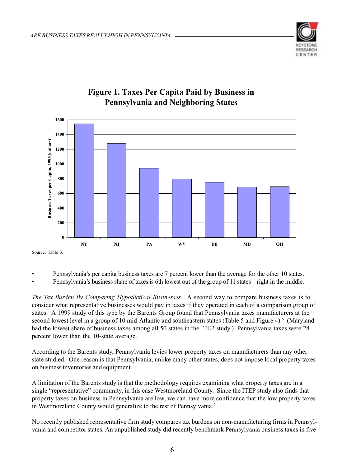



### **Figure 1. Taxes Per Capita Paid by Business in Pennsylvania and Neighboring States**

Source: Table 3.

- Pennsylvania's per capita business taxes are 7 percent lower than the average for the other 10 states.
- Pennsylvania's business share of taxes is 6th lowest out of the group of 11 states right in the middle.

*The Tax Burden By Comparing Hypothetical Businesses*. A second way to compare business taxes is to consider what representative businesses would pay in taxes if they operated in each of a comparison group of states. A 1999 study of this type by the Barents Group found that Pennsylvania taxes manufacturers at the second lowest level in a group of 10 mid-Atlantic and southeastern states (Table 5 and Figure 4).<sup>6</sup> (Maryland had the lowest share of business taxes among all 50 states in the ITEP study.) Pennsylvania taxes were 28 percent lower than the 10-state average.

According to the Barents study, Pennsylvania levies lower property taxes on manufacturers than any other state studied. One reason is that Pennsylvania, unlike many other states, does not impose local property taxes on business inventories and equipment.

A limitation of the Barents study is that the methodology requires examining what property taxes are in a single "representative" community, in this case Westmoreland County. Since the ITEP study also finds that property taxes on business in Pennsylvania are low, we can have more confidence that the low property taxes in Westmoreland County would generalize to the rest of Pennsylvania.7

No recently published representative firm study compares tax burdens on non-manufacturing firms in Pennsylvania and competitor states. An unpublished study did recently benchmark Pennsylvania business taxes in five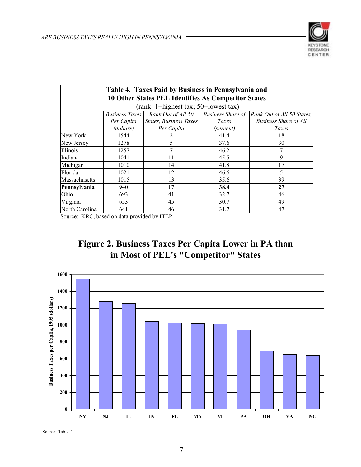

| Table 4. Taxes Paid by Business in Pennsylvania and |                                                                                                       |                        |           |                              |  |  |  |
|-----------------------------------------------------|-------------------------------------------------------------------------------------------------------|------------------------|-----------|------------------------------|--|--|--|
| 10 Other States PEL Identifies As Competitor States |                                                                                                       |                        |           |                              |  |  |  |
| (rank: 1=highest tax; 50=lowest tax)                |                                                                                                       |                        |           |                              |  |  |  |
|                                                     | Rank Out of All 50<br><b>Business Share of</b><br><b>Business Taxes</b><br>Rank Out of All 50 States, |                        |           |                              |  |  |  |
|                                                     | Per Capita                                                                                            | States, Business Taxes | Taxes     | <b>Business Share of All</b> |  |  |  |
|                                                     | (dollars)                                                                                             | Per Capita             | (percent) | Taxes                        |  |  |  |
| New York                                            | 1544                                                                                                  |                        | 41.4      | 18                           |  |  |  |
| New Jersey                                          | 1278                                                                                                  | 5                      | 37.6      | 30                           |  |  |  |
| Illinois                                            | 1257                                                                                                  |                        | 46.2      |                              |  |  |  |
| Indiana                                             | 1041                                                                                                  | 11                     | 45.5      | 9                            |  |  |  |
| Michigan                                            | 1010                                                                                                  | 14                     | 41.8      | 17                           |  |  |  |
| Florida                                             | 1021                                                                                                  | 12                     | 46.6      | 5                            |  |  |  |
| Massachusetts                                       | 1015                                                                                                  | 13                     | 35.6      | 39                           |  |  |  |
| Pennsylvania                                        | 940                                                                                                   | 17                     | 38.4      | 27                           |  |  |  |
| Ohio                                                | 693                                                                                                   | 41                     | 32.7      | 46                           |  |  |  |
| Virginia                                            | 653                                                                                                   | 45                     | 30.7      | 49                           |  |  |  |
| North Carolina                                      | 641                                                                                                   | 46                     | 31.7      | 47                           |  |  |  |

Source: KRC, based on data provided by ITEP.





Source: Table 4.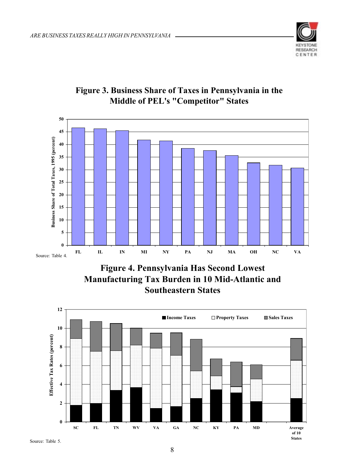



### **Figure 3. Business Share of Taxes in Pennsylvania in the Middle of PEL's "Competitor" States**

**Figure 4. Pennsylvania Has Second Lowest Manufacturing Tax Burden in 10 Mid-Atlantic and Southeastern States**

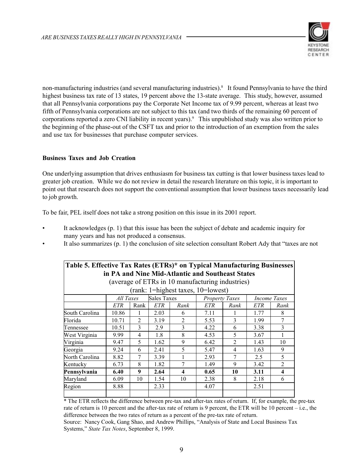

non-manufacturing industries (and several manufacturing industries).8 It found Pennsylvania to have the third highest business tax rate of 13 states, 19 percent above the 13-state average. This study, however, assumed that all Pennsylvania corporations pay the Corporate Net Income tax of 9.99 percent, whereas at least two fifth of Pennsylvania corporations are not subject to this tax (and two thirds of the remaining 60 percent of corporations reported a zero CNI liability in recent years).9 This unpublished study was also written prior to the beginning of the phase-out of the CSFT tax and prior to the introduction of an exemption from the sales and use tax for businesses that purchase computer services.

### **Business Taxes and Job Creation**

One underlying assumption that drives enthusiasm for business tax cutting is that lower business taxes lead to greater job creation. While we do not review in detail the research literature on this topic, it is important to point out that research does not support the conventional assumption that lower business taxes necessarily lead to job growth.

To be fair, PEL itself does not take a strong position on this issue in its 2001 report.

- It acknowledges (p. 1) that this issue has been the subject of debate and academic inquiry for many years and has not produced a consensus.
- It also summarizes (p. 1) the conclusion of site selection consultant Robert Ady that "taxes are not

| Table 5. Effective Tax Rates (ETRs)* on Typical Manufacturing Businesses |            |                                 |            |                  |                       |                |                     |                |
|--------------------------------------------------------------------------|------------|---------------------------------|------------|------------------|-----------------------|----------------|---------------------|----------------|
| in PA and Nine Mid-Atlantic and Southeast States                         |            |                                 |            |                  |                       |                |                     |                |
| (average of ETRs in 10 manufacturing industries)                         |            |                                 |            |                  |                       |                |                     |                |
| (rank: 1=highest taxes, 10=lowest)                                       |            |                                 |            |                  |                       |                |                     |                |
|                                                                          |            | <b>Sales Taxes</b><br>All Taxes |            |                  | <b>Property Taxes</b> |                | <i>Income Taxes</i> |                |
|                                                                          | <b>ETR</b> | Rank                            | <b>ETR</b> | Rank             | ETR                   | Rank           | ETR                 | Rank           |
| South Carolina                                                           | 10.86      | 1                               | 2.03       | 6                | 7.11                  |                | 1.77                | 8              |
| Florida                                                                  | 10.71      | $\mathfrak{D}$                  | 3.19       | $\overline{2}$   | 5.53                  | 3              | 1.99                | $\tau$         |
| Tennessee                                                                | 10.51      | 3                               | 2.9        | 3                | 4.22                  | 6              | 3.38                | 3              |
| West Virginia                                                            | 9.99       | 4                               | 1.8        | 8                | 4.53                  | 5              | 3.67                |                |
| Virginia                                                                 | 9.47       | 5                               | 1.62       | 9                | 6.42                  | $\overline{2}$ | 1.43                | 10             |
| Georgia                                                                  | 9.24       | 6                               | 2.41       | 5                | 5.47                  | 4              | 1.63                | 9              |
| North Carolina                                                           | 8.82       | 7                               | 3.39       | 1                | 2.93                  | 7              | 2.5                 | 5              |
| Kentucky                                                                 | 6.73       | 8                               | 1.82       | 7                | 1.49                  | 9              | 3.42                | $\overline{2}$ |
| Pennsylvania                                                             | 6.40       | 9                               | 2.64       | $\boldsymbol{4}$ | 0.65                  | 10             | 3.11                | 4              |
| Maryland                                                                 | 6.09       | 10                              | 1.54       | 10               | 2.38                  | 8              | 2.18                | 6              |
| Region                                                                   | 8.88       |                                 | 2.33       |                  | 4.07                  |                | 2.51                |                |
|                                                                          |            |                                 |            |                  |                       |                |                     |                |

\* The ETR reflects the difference between pre-tax and after-tax rates of return. If, for example, the pre-tax rate of return is 10 percent and the after-tax rate of return is 9 percent, the ETR will be 10 percent – i.e., the difference between the two rates of return as a percent of the pre-tax rate of return.

Source: Nancy Cook, Gang Shao, and Andrew Phillips, "Analysis of State and Local Business Tax Systems," *State Tax Notes*, September 8, 1999.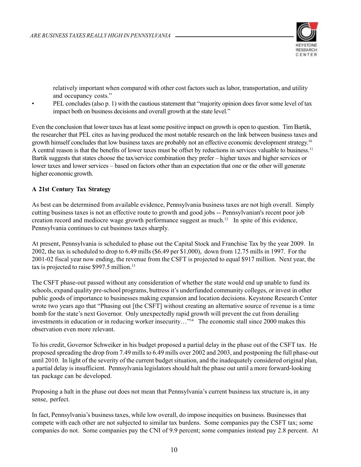

relatively important when compared with other cost factors such as labor, transportation, and utility and occupancy costs."

• PEL concludes (also p. 1) with the cautious statement that "majority opinion does favor some level of tax impact both on business decisions and overall growth at the state level."

Even the conclusion that lower taxes has at least some positive impact on growth is open to question. Tim Bartik, the researcher that PEL cites as having produced the most notable research on the link between business taxes and growth himself concludes that low business taxes are probably not an effective economic development strategy.10 A central reason is that the benefits of lower taxes must be offset by reductions in services valuable to business.<sup>11</sup> Bartik suggests that states choose the tax/service combination they prefer – higher taxes and higher services or lower taxes and lower services – based on factors other than an expectation that one or the other will generate higher economic growth.

### **A 21st Century Tax Strategy**

As best can be determined from available evidence, Pennsylvania business taxes are not high overall. Simply cutting business taxes is not an effective route to growth and good jobs -- Pennsylvanian's recent poor job creation record and mediocre wage growth performance suggest as much.<sup>12</sup> In spite of this evidence, Pennsylvania continues to cut business taxes sharply.

At present, Pennsylvania is scheduled to phase out the Capital Stock and Franchise Tax by the year 2009. In 2002, the tax is scheduled to drop to 6.49 mills (\$6.49 per \$1,000), down from 12.75 mills in 1997. For the 2001-02 fiscal year now ending, the revenue from the CSFT is projected to equal \$917 million. Next year, the tax is projected to raise \$997.5 million.<sup>13</sup>

The CSFT phase-out passed without any consideration of whether the state would end up unable to fund its schools, expand quality pre-school programs, buttress it's underfunded community colleges, or invest in other public goods of importance to businesses making expansion and location decisions. Keystone Research Center wrote two years ago that "Phasing out [the CSFT] without creating an alternative source of revenue is a time bomb for the state's next Governor. Only unexpectedly rapid growth will prevent the cut from derailing investments in education or in reducing worker insecurity…"14 The economic stall since 2000 makes this observation even more relevant.

To his credit, Governor Schweiker in his budget proposed a partial delay in the phase out of the CSFT tax. He proposed spreading the drop from 7.49 mills to 6.49 mills over 2002 and 2003, and postponing the full phase-out until 2010. In light of the severity of the current budget situation, and the inadequately considered original plan, a partial delay is insufficient. Pennsylvania legislators should halt the phase out until a more forward-looking tax package can be developed.

Proposing a halt in the phase out does not mean that Pennsylvania's current business tax structure is, in any sense, perfect.

In fact, Pennsylvania's business taxes, while low overall, do impose inequities on business. Businesses that compete with each other are not subjected to similar tax burdens. Some companies pay the CSFT tax; some companies do not. Some companies pay the CNI of 9.9 percent; some companies instead pay 2.8 percent. At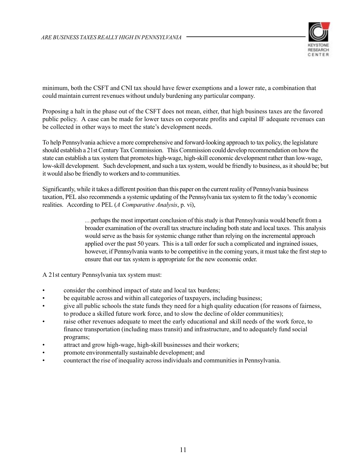

minimum, both the CSFT and CNI tax should have fewer exemptions and a lower rate, a combination that could maintain current revenues without unduly burdening any particular company.

Proposing a halt in the phase out of the CSFT does not mean, either, that high business taxes are the favored public policy. A case can be made for lower taxes on corporate profits and capital IF adequate revenues can be collected in other ways to meet the state's development needs.

To help Pennsylvania achieve a more comprehensive and forward-looking approach to tax policy, the legislature should establish a 21st Century Tax Commission. This Commission could develop recommendation on how the state can establish a tax system that promotes high-wage, high-skill economic development rather than low-wage, low-skill development. Such development, and such a tax system, would be friendly to business, as it should be; but it would also be friendly to workers and to communities.

Significantly, while it takes a different position than this paper on the current reality of Pennsylvania business taxation, PEL also recommends a systemic updating of the Pennsylvania tax system to fit the today's economic realities. According to PEL (*A Comparative Analysis*, p. vi),

> …perhaps the most important conclusion of this study is that Pennsylvania would benefit from a broader examination of the overall tax structure including both state and local taxes. This analysis would serve as the basis for systemic change rather than relying on the incremental approach applied over the past 50 years. This is a tall order for such a complicated and ingrained issues, however, if Pennsylvania wants to be competitive in the coming years, it must take the first step to ensure that our tax system is appropriate for the new economic order.

A 21st century Pennsylvania tax system must:

- consider the combined impact of state and local tax burdens;
- be equitable across and within all categories of taxpayers, including business;
- give all public schools the state funds they need for a high quality education (for reasons of fairness, to produce a skilled future work force, and to slow the decline of older communities);
- raise other revenues adequate to meet the early educational and skill needs of the work force, to finance transportation (including mass transit) and infrastructure, and to adequately fund social programs;
- attract and grow high-wage, high-skill businesses and their workers;
- promote environmentally sustainable development; and
- counteract the rise of inequality across individuals and communities in Pennsylvania.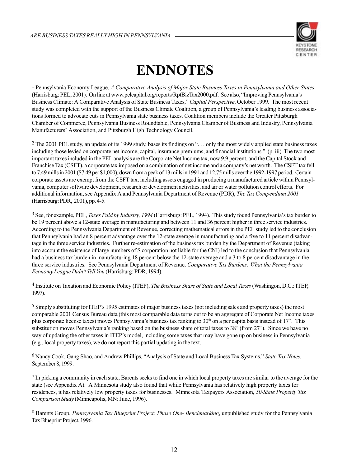

## **ENDNOTES**

1 Pennsylvania Economy League, *A Comparative Analysis of Major State Business Taxes in Pennsylvania and Other States* (Harrisburg: PEL, 2001). On line at www.pelcapital.org/reports/RptBizTax2000.pdf. See also, "Improving Pennsylvania's Business Climate: A Comparative Analysis of State Business Taxes," *Capital Perspective*, October 1999. The most recent study was completed with the support of the Business Climate Coalition, a group of Pennsylvania's leading business associations formed to advocate cuts in Pennsylvania state business taxes. Coalition members include the Greater Pittsburgh Chamber of Commerce, Pennsylvania Business Roundtable, Pennsylvania Chamber of Business and Industry, Pennsylvania Manufacturers' Association, and Pittsburgh High Technology Council.

<sup>2</sup> The 2001 PEL study, an update of its 1999 study, bases its findings on "... only the most widely applied state business taxes including those levied on corporate net income, capital, insurance premiums, and financial institutions." (p. iii) The two most important taxes included in the PEL analysis are the Corporate Net Income tax, now 9.9 percent, and the Capital Stock and Franchise Tax (CSFT), a corporate tax imposed on a combination of net income and a company's net worth. The CSFT tax fell to 7.49 mills in 2001 (\$7.49 per \$1,000), down from a peak of 13 mills in 1991 and 12.75 mills over the 1992-1997 period. Certain corporate assets are exempt from the CSFT tax, including assets engaged in producing a manufactured article within Pennsylvania, computer software development, research or development activities, and air or water pollution control efforts. For additional information, see Appendix A and Pennsylvania Department of Revenue (PDR), *The Tax Compendium 2001* (Harrisburg: PDR, 2001), pp. 4-5.

3 See, for example, PEL, *Taxes Paid by Industry, 1994* (Harrisburg: PEL, 1994). This study found Pennsylvania's tax burden to be 19 percent above a 12-state average in manufacturing and between 11 and 36 percent higher in three service industries. According to the Pennsylvania Department of Revenue, correcting mathematical errors in the PEL study led to the conclusion that Pennsylvania had an 8 percent advantage over the 12-state average in manufacturing and a five to 11 percent disadvantage in the three service industries. Further re-estimation of the business tax burden by the Department of Revenue (taking into account the existence of large numbers of S corporation not liable for the CNI) led to the conclusion that Pennsylvania had a business tax burden in manufacturing 18 percent below the 12-state average and a 3 to 8 percent disadvantage in the three service industries. See Pennsylvania Department of Revenue, *Comparative Tax Burdens: What the Pennsylvania Economy League Didn't Tell You* (Harrisburg: PDR, 1994).

4 Institute on Taxation and Economic Policy (ITEP), *The Business Share of State and Local Taxes* (Washingon, D.C.: ITEP, 1997).

5 Simply substituting for ITEP's 1995 estimates of major business taxes (not including sales and property taxes) the most comparable 2001 Census Bureau data (this most comparable data turns out to be an aggregate of Corporate Net Income taxes plus corporate license taxes) moves Pennsylvania's business tax ranking to 30<sup>th</sup> on a per capita basis instead of 17<sup>th</sup>. This substitution moves Pennsylvania's ranking based on the business share of total taxes to  $38<sup>th</sup>$  (from  $27<sup>th</sup>$ ). Since we have no way of updating the other taxes in ITEP's model, including some taxes that may have gone up on business in Pennsylvania (e.g., local property taxes), we do not report this partial updating in the text.

6 Nancy Cook, Gang Shao, and Andrew Phillips, "Analysis of State and Local Business Tax Systems," *State Tax Notes*, September 8, 1999.

7 In picking a community in each state, Barents seeks to find one in which local property taxes are similar to the average for the state (see Appendix A). A Minnesota study also found that while Pennsylvania has relatively high property taxes for residences, it has relatively low property taxes for businesses. Minnesota Taxpayers Association, *50-State Property Tax Comparison Study* (Minneapolis, MN: June, 1996).

8 Barents Group, *Pennsylvania Tax Blueprint Project: Phase One- Benchmarking*, unpublished study for the Pennsylvania Tax Blueprint Project, 1996.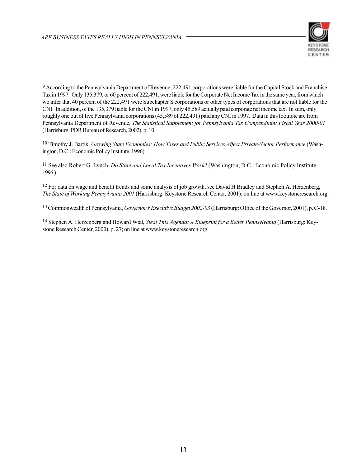

<sup>9</sup> According to the Pennsylvania Department of Revenue, 222,491 corporations were liable for the Capital Stock and Franchise Tax in 1997. Only 135,379, or 60 percent of 222,491, were liable for the Corporate Net Income Tax in the same year, from which we infer that 40 percent of the 222,491 were Subchapter S corporations or other types of corporations that are not liable for the CNI. In addition, of the 135,379 liable for the CNI in 1997, only 45,589 actually paid corporate net income tax. In sum, only roughly one out of five Pennsylvania corporations (45,589 of 222,491) paid any CNI in 1997. Data in this footnote are from Pennsylvania Department of Revenue, *The Statistical Supplement for Pennsylvania Tax Compendium: Fiscal Year 2000-01* (Harrisburg: PDR Bureau of Research, 2002), p. 10.

10 Timothy J. Bartik, *Growing State Economies: How Taxes and Public Services Affect Private-Sector Performance* (Washington, D.C.: Economic Policy Institute, 1996).

11 See also Robert G. Lynch, *Do State and Local Tax Incentives Work*? (Washington, D.C.: Economic Policy Institute: 1996.)

<sup>12</sup> For data on wage and benefit trends and some analysis of job growth, see David H Bradley and Stephen A. Herzenberg, *The State of Working Pennsylvania 2001* (Harrisburg: Keystone Research Center, 2001); on line at www.keystoneresearch.org.

13 Commonwealth of Pennsylvania, *Governor's Executive Budget 2002-03* (Harrisburg: Office of the Governor, 2001), p. C-18.

14 Stephen A. Herzenberg and Howard Wial, *Steal This Agenda: A Blueprint for a Better Pennsylvania* (Harrisburg: Keystone Research Center, 2000), p. 27; on line at www.keystoneresearch.org.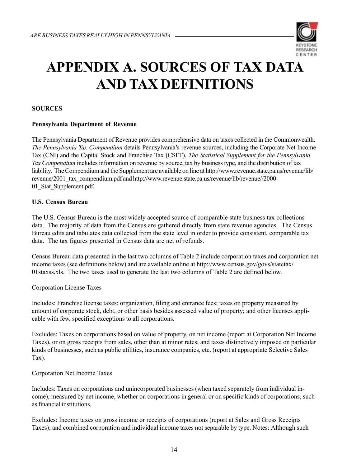

# **APPENDIX A. SOURCES OF TAX DATA AND TAX DEFINITIONS**

### **SOURCES**

### **Pennsylvania Department of Revenue**

The Pennsylvania Department of Revenue provides comprehensive data on taxes collected in the Commonwealth. *The Pennsylvania Tax Compendium* details Pennsylvania's revenue sources, including the Corporate Net Income Tax (CNI) and the Capital Stock and Franchise Tax (CSFT). *The Statistical Supplement for the Pennsylvania Tax Compendium* includes information on revenue by source, tax by business type, and the distribution of tax liability. The Compendium and the Supplement are available on line at http://www.revenue.state.pa.us/revenue/lib/ revenue/2001\_tax\_compendium.pdf and http://www.revenue.state.pa.us/revenue/lib/revenue//2000-01 Stat Supplement.pdf.

### **U.S. Census Bureau**

The U.S. Census Bureau is the most widely accepted source of comparable state business tax collections data. The majority of data from the Census are gathered directly from state revenue agencies. The Census Bureau edits and tabulates data collected from the state level in order to provide consistent, comparable tax data. The tax figures presented in Census data are net of refunds.

Census Bureau data presented in the last two columns of Table 2 include corporation taxes and corporation net income taxes (see definitions below) and are available online at http://www.census.gov/govs/statetax/ 01staxss.xls. The two taxes used to generate the last two columns of Table 2 are defined below.

Corporation License Taxes

Includes: Franchise license taxes; organization, filing and entrance fees; taxes on property measured by amount of corporate stock, debt, or other basis besides assessed value of property; and other licenses applicable with few, specified exceptions to all corporations.

Excludes: Taxes on corporations based on value of property, on net income (report at Corporation Net Income Taxes), or on gross receipts from sales, other than at minor rates; and taxes distinctively imposed on particular kinds of businesses, such as public utilities, insurance companies, etc. (report at appropriate Selective Sales Tax).

### Corporation Net Income Taxes

Includes: Taxes on corporations and unincorporated businesses (when taxed separately from individual income), measured by net income, whether on corporations in general or on specific kinds of corporations, such as financial institutions.

Excludes: Income taxes on gross income or receipts of corporations (report at Sales and Gross Receipts Taxes); and combined corporation and individual income taxes not separable by type. Notes: Although such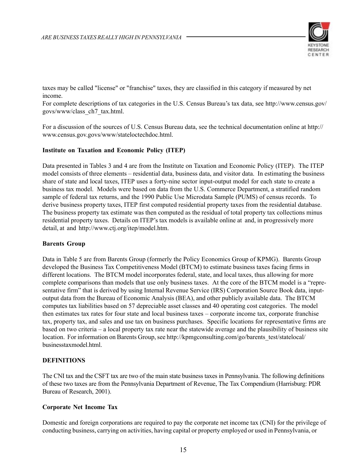

taxes may be called "license" or "franchise" taxes, they are classified in this category if measured by net income.

For complete descriptions of tax categories in the U.S. Census Bureau's tax data, see http://www.census.gov/ govs/www/class\_ch7\_tax.html.

For a discussion of the sources of U.S. Census Bureau data, see the technical documentation online at http:// www.census.gov.govs/www/stateloctechdoc.html.

### **Institute on Taxation and Economic Policy (ITEP)**

Data presented in Tables 3 and 4 are from the Institute on Taxation and Economic Policy (ITEP). The ITEP model consists of three elements – residential data, business data, and visitor data. In estimating the business share of state and local taxes, ITEP uses a forty-nine sector input-output model for each state to create a business tax model. Models were based on data from the U.S. Commerce Department, a stratified random sample of federal tax returns, and the 1990 Public Use Microdata Sample (PUMS) of census records. To derive business property taxes, ITEP first computed residential property taxes from the residential database. The business property tax estimate was then computed as the residual of total property tax collections minus residential property taxes. Details on ITEP's tax models is available online at and, in progressively more detail, at and http://www.ctj.org/itep/model.htm.

### **Barents Group**

Data in Table 5 are from Barents Group (formerly the Policy Economics Group of KPMG). Barents Group developed the Business Tax Competitiveness Model (BTCM) to estimate business taxes facing firms in different locations. The BTCM model incorporates federal, state, and local taxes, thus allowing for more complete comparisons than models that use only business taxes. At the core of the BTCM model is a "representative firm" that is derived by using Internal Revenue Service (IRS) Corporation Source Book data, inputoutput data from the Bureau of Economic Analysis (BEA), and other publicly available data. The BTCM computes tax liabilities based on 57 depreciable asset classes and 40 operating cost categories. The model then estimates tax rates for four state and local business taxes – corporate income tax, corporate franchise tax, property tax, and sales and use tax on business purchases. Specific locations for representative firms are based on two criteria – a local property tax rate near the statewide average and the plausibility of business site location. For information on Barents Group, see http://kpmgconsulting.com/go/barents\_test/statelocal/ businesstaxmodel.html.

### **DEFINITIONS**

The CNI tax and the CSFT tax are two of the main state business taxes in Pennsylvania. The following definitions of these two taxes are from the Pennsylvania Department of Revenue, The Tax Compendium (Harrisburg: PDR Bureau of Research, 2001).

### **Corporate Net Income Tax**

Domestic and foreign corporations are required to pay the corporate net income tax (CNI) for the privilege of conducting business, carrying on activities, having capital or property employed or used in Pennsylvania, or